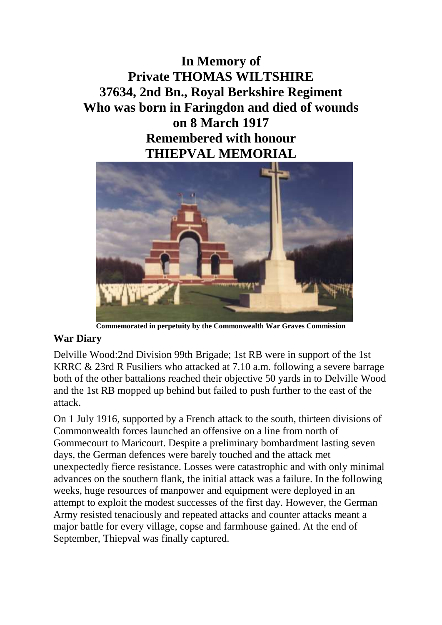**In Memory of Private THOMAS WILTSHIRE 37634, 2nd Bn., Royal Berkshire Regiment Who was born in Faringdon and died of wounds on 8 March 1917 Remembered with honour THIEPVAL MEMORIAL**



**Commemorated in perpetuity by the Commonwealth War Graves Commission**

## **War Diary**

Delville Wood:2nd Division 99th Brigade; 1st RB were in support of the 1st KRRC & 23rd R Fusiliers who attacked at 7.10 a.m. following a severe barrage both of the other battalions reached their objective 50 yards in to Delville Wood and the 1st RB mopped up behind but failed to push further to the east of the attack.

On 1 July 1916, supported by a French attack to the south, thirteen divisions of Commonwealth forces launched an offensive on a line from north of Gommecourt to Maricourt. Despite a preliminary bombardment lasting seven days, the German defences were barely touched and the attack met unexpectedly fierce resistance. Losses were catastrophic and with only minimal advances on the southern flank, the initial attack was a failure. In the following weeks, huge resources of manpower and equipment were deployed in an attempt to exploit the modest successes of the first day. However, the German Army resisted tenaciously and repeated attacks and counter attacks meant a major battle for every village, copse and farmhouse gained. At the end of September, Thiepval was finally captured.